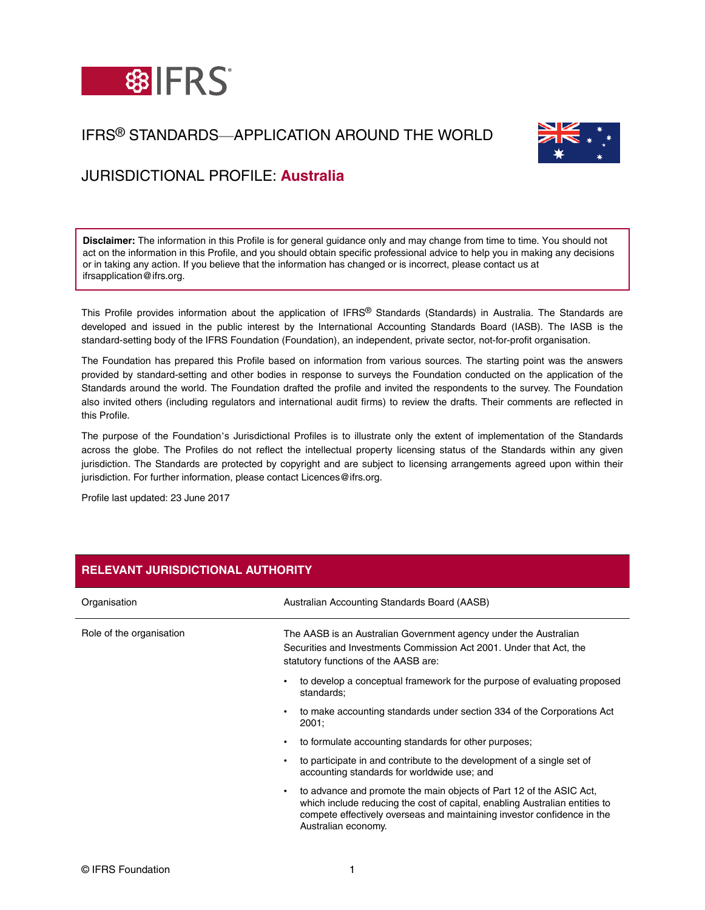

## IFRS® STANDARDS—APPLICATION AROUND THE WORLD



# JURISDICTIONAL PROFILE: **Australia**

**Disclaimer:** The information in this Profile is for general guidance only and may change from time to time. You should not act on the information in this Profile, and you should obtain specific professional advice to help you in making any decisions or in taking any action. If you believe that the information has changed or is incorrect, please contact us at ifrsapplication@ifrs.org.

This Profile provides information about the application of IFRS® Standards (Standards) in Australia. The Standards are developed and issued in the public interest by the International Accounting Standards Board (IASB). The IASB is the standard-setting body of the IFRS Foundation (Foundation), an independent, private sector, not-for-profit organisation.

The Foundation has prepared this Profile based on information from various sources. The starting point was the answers provided by standard-setting and other bodies in response to surveys the Foundation conducted on the application of the Standards around the world. The Foundation drafted the profile and invited the respondents to the survey. The Foundation also invited others (including regulators and international audit firms) to review the drafts. Their comments are reflected in this Profile.

The purpose of the Foundation's Jurisdictional Profiles is to illustrate only the extent of implementation of the Standards across the globe. The Profiles do not reflect the intellectual property licensing status of the Standards within any given jurisdiction. The Standards are protected by copyright and are subject to licensing arrangements agreed upon within their jurisdiction. For further information, please contact Licences@ifrs.org.

Profile last updated: 23 June 2017

| Organisation             | Australian Accounting Standards Board (AASB)                                                                                                                                                                                                              |
|--------------------------|-----------------------------------------------------------------------------------------------------------------------------------------------------------------------------------------------------------------------------------------------------------|
| Role of the organisation | The AASB is an Australian Government agency under the Australian<br>Securities and Investments Commission Act 2001. Under that Act, the<br>statutory functions of the AASB are:                                                                           |
|                          | to develop a conceptual framework for the purpose of evaluating proposed<br>standards:                                                                                                                                                                    |
|                          | to make accounting standards under section 334 of the Corporations Act<br>2001:                                                                                                                                                                           |
|                          | to formulate accounting standards for other purposes;<br>٠                                                                                                                                                                                                |
|                          | to participate in and contribute to the development of a single set of<br>accounting standards for worldwide use; and                                                                                                                                     |
|                          | to advance and promote the main objects of Part 12 of the ASIC Act,<br>٠<br>which include reducing the cost of capital, enabling Australian entities to<br>compete effectively overseas and maintaining investor confidence in the<br>Australian economy. |

## **RELEVANT JURISDICTIONAL AUTHORITY**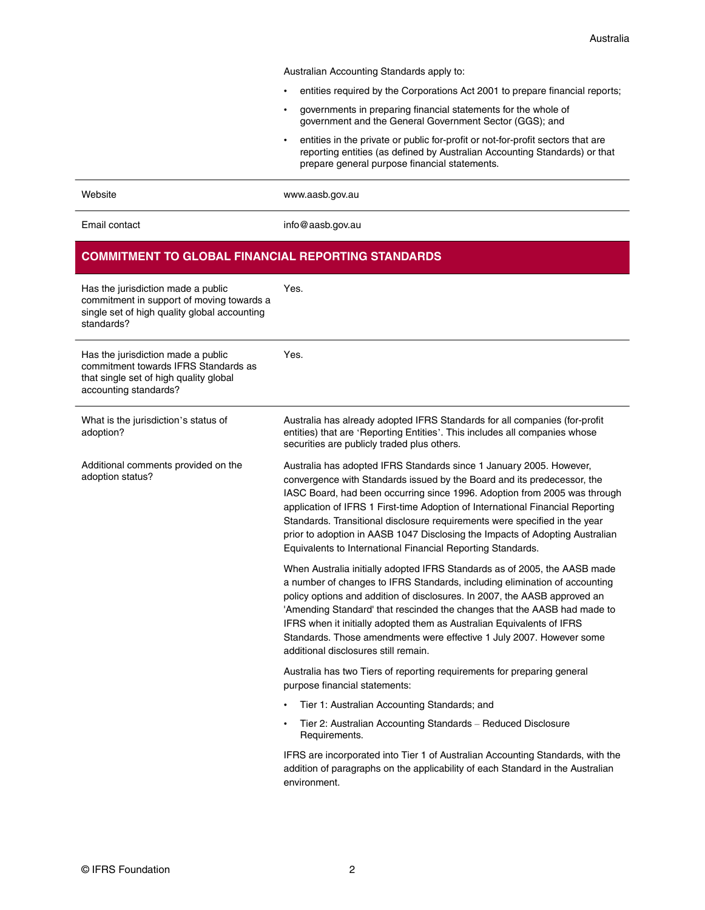Australian Accounting Standards apply to:

- entities required by the Corporations Act 2001 to prepare financial reports;
- governments in preparing financial statements for the whole of government and the General Government Sector (GGS); and
- entities in the private or public for-profit or not-for-profit sectors that are reporting entities (as defined by Australian Accounting Standards) or that prepare general purpose financial statements.

Website [www.aasb.gov.au](http://www.aasb.gov.au/)

Email contact [info@aasb.gov.au](mailto:info@aasb.gov.au)

## **COMMITMENT TO GLOBAL FINANCIAL REPORTING STANDARDS**

| Has the jurisdiction made a public<br>commitment in support of moving towards a<br>single set of high quality global accounting<br>standards? | Yes.                                                                                                                                                                                                                                                                                                                                                                                                                                                                                                                                       |
|-----------------------------------------------------------------------------------------------------------------------------------------------|--------------------------------------------------------------------------------------------------------------------------------------------------------------------------------------------------------------------------------------------------------------------------------------------------------------------------------------------------------------------------------------------------------------------------------------------------------------------------------------------------------------------------------------------|
| Has the jurisdiction made a public<br>commitment towards IFRS Standards as<br>that single set of high quality global<br>accounting standards? | Yes.                                                                                                                                                                                                                                                                                                                                                                                                                                                                                                                                       |
| What is the jurisdiction's status of<br>adoption?                                                                                             | Australia has already adopted IFRS Standards for all companies (for-profit<br>entities) that are 'Reporting Entities'. This includes all companies whose<br>securities are publicly traded plus others.                                                                                                                                                                                                                                                                                                                                    |
| Additional comments provided on the<br>adoption status?                                                                                       | Australia has adopted IFRS Standards since 1 January 2005. However,<br>convergence with Standards issued by the Board and its predecessor, the<br>IASC Board, had been occurring since 1996. Adoption from 2005 was through<br>application of IFRS 1 First-time Adoption of International Financial Reporting<br>Standards. Transitional disclosure requirements were specified in the year<br>prior to adoption in AASB 1047 Disclosing the Impacts of Adopting Australian<br>Equivalents to International Financial Reporting Standards. |
|                                                                                                                                               | When Australia initially adopted IFRS Standards as of 2005, the AASB made<br>a number of changes to IFRS Standards, including elimination of accounting<br>policy options and addition of disclosures. In 2007, the AASB approved an<br>'Amending Standard' that rescinded the changes that the AASB had made to<br>IFRS when it initially adopted them as Australian Equivalents of IFRS<br>Standards. Those amendments were effective 1 July 2007. However some<br>additional disclosures still remain.                                  |
|                                                                                                                                               | Australia has two Tiers of reporting requirements for preparing general<br>purpose financial statements:                                                                                                                                                                                                                                                                                                                                                                                                                                   |
|                                                                                                                                               | Tier 1: Australian Accounting Standards; and                                                                                                                                                                                                                                                                                                                                                                                                                                                                                               |
|                                                                                                                                               | Tier 2: Australian Accounting Standards - Reduced Disclosure<br>$\bullet$<br>Requirements.                                                                                                                                                                                                                                                                                                                                                                                                                                                 |
|                                                                                                                                               | IFRS are incorporated into Tier 1 of Australian Accounting Standards, with the<br>addition of paragraphs on the applicability of each Standard in the Australian<br>environment.                                                                                                                                                                                                                                                                                                                                                           |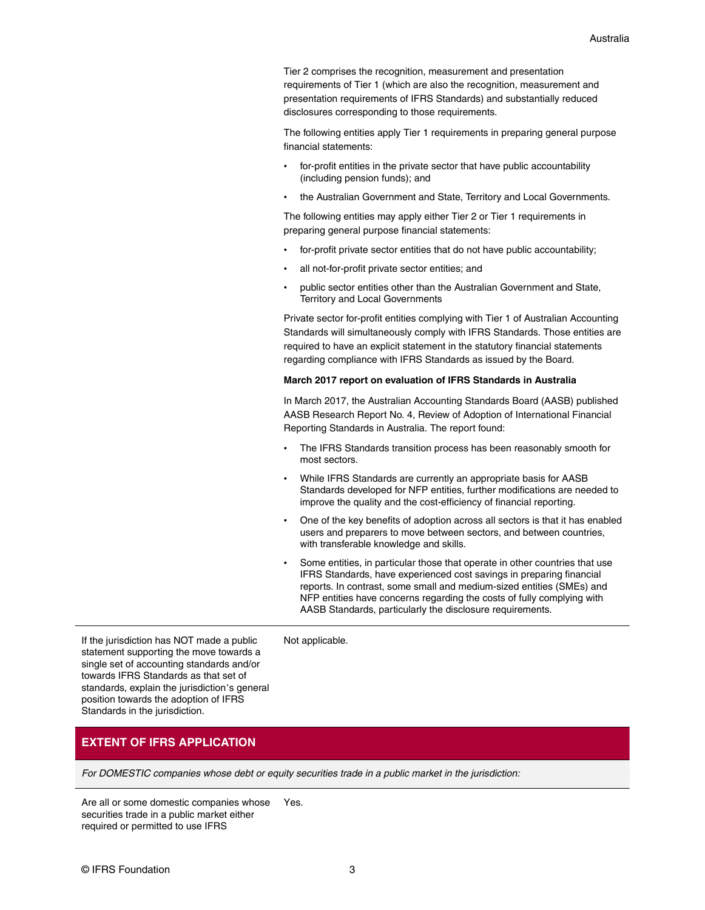Tier 2 comprises the recognition, measurement and presentation requirements of Tier 1 (which are also the recognition, measurement and presentation requirements of IFRS Standards) and substantially reduced disclosures corresponding to those requirements.

The following entities apply Tier 1 requirements in preparing general purpose financial statements:

- for-profit entities in the private sector that have public accountability (including pension funds); and
- the Australian Government and State, Territory and Local Governments.

The following entities may apply either Tier 2 or Tier 1 requirements in preparing general purpose financial statements:

- for-profit private sector entities that do not have public accountability;
- all not-for-profit private sector entities; and
- public sector entities other than the Australian Government and State, Territory and Local Governments

Private sector for-profit entities complying with Tier 1 of Australian Accounting Standards will simultaneously comply with IFRS Standards. Those entities are required to have an explicit statement in the statutory financial statements regarding compliance with IFRS Standards as issued by the Board.

#### **March 2017 report on evaluation of IFRS Standards in Australia**

In March 2017, the Australian Accounting Standards Board (AASB) published [AASB Research Report No. 4, Review of Adoption of International Financial](http://www.aasb.gov.au/Research-Centre/Research-Reports.aspx) [Reporting Standards in Australia.](http://www.aasb.gov.au/Research-Centre/Research-Reports.aspx) The report found:

- The IFRS Standards transition process has been reasonably smooth for most sectors.
- While IFRS Standards are currently an appropriate basis for AASB Standards developed for NFP entities, further modifications are needed to improve the quality and the cost-efficiency of financial reporting.
- One of the key benefits of adoption across all sectors is that it has enabled users and preparers to move between sectors, and between countries, with transferable knowledge and skills.
- Some entities, in particular those that operate in other countries that use IFRS Standards, have experienced cost savings in preparing financial reports. In contrast, some small and medium-sized entities (SMEs) and NFP entities have concerns regarding the costs of fully complying with AASB Standards, particularly the disclosure requirements.

If the jurisdiction has NOT made a public statement supporting the move towards a single set of accounting standards and/or towards IFRS Standards as that set of standards, explain the jurisdiction's general position towards the adoption of IFRS Standards in the jurisdiction.

### Not applicable.

## **EXTENT OF IFRS APPLICATION**

For DOMESTIC companies whose debt or equity securities trade in a public market in the jurisdiction:

Are all or some domestic companies whose securities trade in a public market either required or permitted to use IFRS Yes.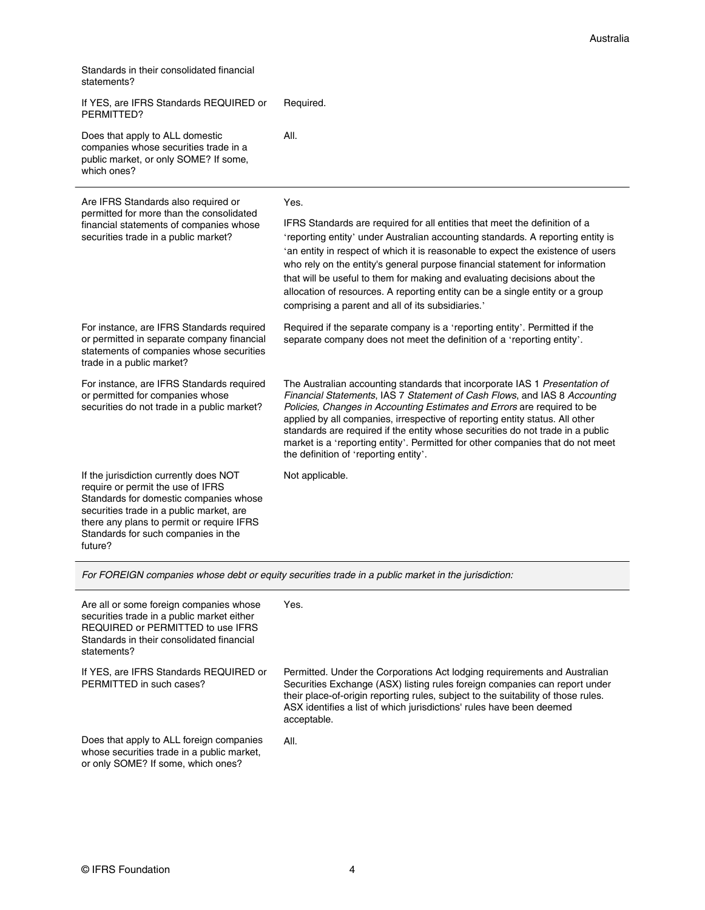| Standards in their consolidated financial |  |
|-------------------------------------------|--|
| statements?                               |  |

|  | If YES, are IFRS Standards REQUIRED or<br>PERMITTED?                                                                                                                                                                                                             | Required.                                                                                                                                                                                                                                                                                                                                                                                                                                                                                                                                            |
|--|------------------------------------------------------------------------------------------------------------------------------------------------------------------------------------------------------------------------------------------------------------------|------------------------------------------------------------------------------------------------------------------------------------------------------------------------------------------------------------------------------------------------------------------------------------------------------------------------------------------------------------------------------------------------------------------------------------------------------------------------------------------------------------------------------------------------------|
|  | Does that apply to ALL domestic<br>companies whose securities trade in a<br>public market, or only SOME? If some,<br>which ones?                                                                                                                                 | All.                                                                                                                                                                                                                                                                                                                                                                                                                                                                                                                                                 |
|  | Are IFRS Standards also required or<br>permitted for more than the consolidated<br>financial statements of companies whose<br>securities trade in a public market?                                                                                               | Yes.                                                                                                                                                                                                                                                                                                                                                                                                                                                                                                                                                 |
|  |                                                                                                                                                                                                                                                                  | IFRS Standards are required for all entities that meet the definition of a<br>'reporting entity' under Australian accounting standards. A reporting entity is<br>'an entity in respect of which it is reasonable to expect the existence of users<br>who rely on the entity's general purpose financial statement for information<br>that will be useful to them for making and evaluating decisions about the<br>allocation of resources. A reporting entity can be a single entity or a group<br>comprising a parent and all of its subsidiaries.' |
|  | For instance, are IFRS Standards required<br>or permitted in separate company financial<br>statements of companies whose securities<br>trade in a public market?                                                                                                 | Required if the separate company is a 'reporting entity'. Permitted if the<br>separate company does not meet the definition of a 'reporting entity'.                                                                                                                                                                                                                                                                                                                                                                                                 |
|  | For instance, are IFRS Standards required<br>or permitted for companies whose<br>securities do not trade in a public market?                                                                                                                                     | The Australian accounting standards that incorporate IAS 1 Presentation of<br>Financial Statements, IAS 7 Statement of Cash Flows, and IAS 8 Accounting<br>Policies, Changes in Accounting Estimates and Errors are required to be<br>applied by all companies, irrespective of reporting entity status. All other<br>standards are required if the entity whose securities do not trade in a public<br>market is a 'reporting entity'. Permitted for other companies that do not meet<br>the definition of 'reporting entity'.                      |
|  | If the jurisdiction currently does NOT<br>require or permit the use of IFRS<br>Standards for domestic companies whose<br>securities trade in a public market, are<br>there any plans to permit or require IFRS<br>Standards for such companies in the<br>future? | Not applicable.                                                                                                                                                                                                                                                                                                                                                                                                                                                                                                                                      |

For FOREIGN companies whose debt or equity securities trade in a public market in the jurisdiction:

| Are all or some foreign companies whose<br>securities trade in a public market either<br>REQUIRED or PERMITTED to use IFRS<br>Standards in their consolidated financial<br>statements? | Yes.                                                                                                                                                                                                                                                                                                                                |
|----------------------------------------------------------------------------------------------------------------------------------------------------------------------------------------|-------------------------------------------------------------------------------------------------------------------------------------------------------------------------------------------------------------------------------------------------------------------------------------------------------------------------------------|
| If YES, are IFRS Standards REQUIRED or<br>PERMITTED in such cases?                                                                                                                     | Permitted. Under the Corporations Act lodging requirements and Australian<br>Securities Exchange (ASX) listing rules foreign companies can report under<br>their place-of-origin reporting rules, subject to the suitability of those rules.<br>ASX identifies a list of which jurisdictions' rules have been deemed<br>acceptable. |
| Does that apply to ALL foreign companies<br>whose securities trade in a public market,<br>or only SOME? If some, which ones?                                                           | AII.                                                                                                                                                                                                                                                                                                                                |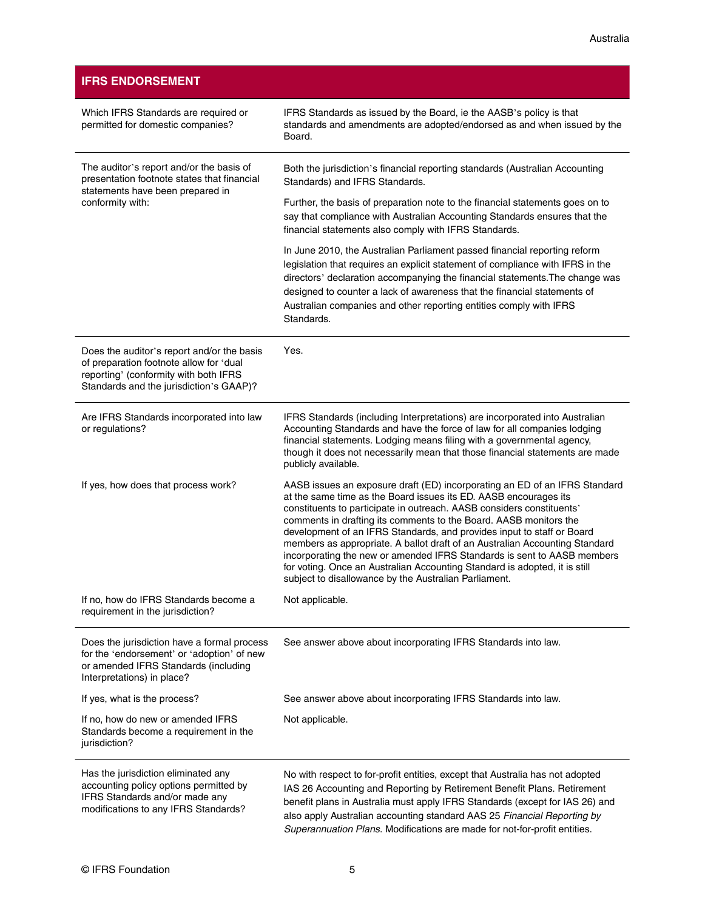## **IFRS ENDORSEMENT**

| Which IFRS Standards are required or<br>permitted for domestic companies?                                                                                                 | IFRS Standards as issued by the Board, ie the AASB's policy is that<br>standards and amendments are adopted/endorsed as and when issued by the<br>Board.                                                                                                                                                                                                                                                                                                                                                                                                                                                                                                                |
|---------------------------------------------------------------------------------------------------------------------------------------------------------------------------|-------------------------------------------------------------------------------------------------------------------------------------------------------------------------------------------------------------------------------------------------------------------------------------------------------------------------------------------------------------------------------------------------------------------------------------------------------------------------------------------------------------------------------------------------------------------------------------------------------------------------------------------------------------------------|
| The auditor's report and/or the basis of<br>presentation footnote states that financial<br>statements have been prepared in                                               | Both the jurisdiction's financial reporting standards (Australian Accounting<br>Standards) and IFRS Standards.                                                                                                                                                                                                                                                                                                                                                                                                                                                                                                                                                          |
| conformity with:                                                                                                                                                          | Further, the basis of preparation note to the financial statements goes on to<br>say that compliance with Australian Accounting Standards ensures that the<br>financial statements also comply with IFRS Standards.                                                                                                                                                                                                                                                                                                                                                                                                                                                     |
|                                                                                                                                                                           | In June 2010, the Australian Parliament passed financial reporting reform<br>legislation that requires an explicit statement of compliance with IFRS in the<br>directors' declaration accompanying the financial statements. The change was<br>designed to counter a lack of awareness that the financial statements of<br>Australian companies and other reporting entities comply with IFRS<br>Standards.                                                                                                                                                                                                                                                             |
| Does the auditor's report and/or the basis<br>of preparation footnote allow for 'dual<br>reporting' (conformity with both IFRS<br>Standards and the jurisdiction's GAAP)? | Yes.                                                                                                                                                                                                                                                                                                                                                                                                                                                                                                                                                                                                                                                                    |
| Are IFRS Standards incorporated into law<br>or regulations?                                                                                                               | IFRS Standards (including Interpretations) are incorporated into Australian<br>Accounting Standards and have the force of law for all companies lodging<br>financial statements. Lodging means filing with a governmental agency,<br>though it does not necessarily mean that those financial statements are made<br>publicly available.                                                                                                                                                                                                                                                                                                                                |
| If yes, how does that process work?                                                                                                                                       | AASB issues an exposure draft (ED) incorporating an ED of an IFRS Standard<br>at the same time as the Board issues its ED. AASB encourages its<br>constituents to participate in outreach. AASB considers constituents'<br>comments in drafting its comments to the Board. AASB monitors the<br>development of an IFRS Standards, and provides input to staff or Board<br>members as appropriate. A ballot draft of an Australian Accounting Standard<br>incorporating the new or amended IFRS Standards is sent to AASB members<br>for voting. Once an Australian Accounting Standard is adopted, it is still<br>subject to disallowance by the Australian Parliament. |
| If no, how do IFRS Standards become a<br>requirement in the jurisdiction?                                                                                                 | Not applicable.                                                                                                                                                                                                                                                                                                                                                                                                                                                                                                                                                                                                                                                         |
| Does the jurisdiction have a formal process<br>for the 'endorsement' or 'adoption' of new<br>or amended IFRS Standards (including<br>Interpretations) in place?           | See answer above about incorporating IFRS Standards into law.                                                                                                                                                                                                                                                                                                                                                                                                                                                                                                                                                                                                           |
| If yes, what is the process?                                                                                                                                              | See answer above about incorporating IFRS Standards into law.                                                                                                                                                                                                                                                                                                                                                                                                                                                                                                                                                                                                           |
| If no, how do new or amended IFRS<br>Standards become a requirement in the<br>jurisdiction?                                                                               | Not applicable.                                                                                                                                                                                                                                                                                                                                                                                                                                                                                                                                                                                                                                                         |
| Has the jurisdiction eliminated any<br>accounting policy options permitted by<br>IFRS Standards and/or made any<br>modifications to any IFRS Standards?                   | No with respect to for-profit entities, except that Australia has not adopted<br>IAS 26 Accounting and Reporting by Retirement Benefit Plans. Retirement<br>benefit plans in Australia must apply IFRS Standards (except for IAS 26) and<br>also apply Australian accounting standard AAS 25 Financial Reporting by<br>Superannuation Plans. Modifications are made for not-for-profit entities.                                                                                                                                                                                                                                                                        |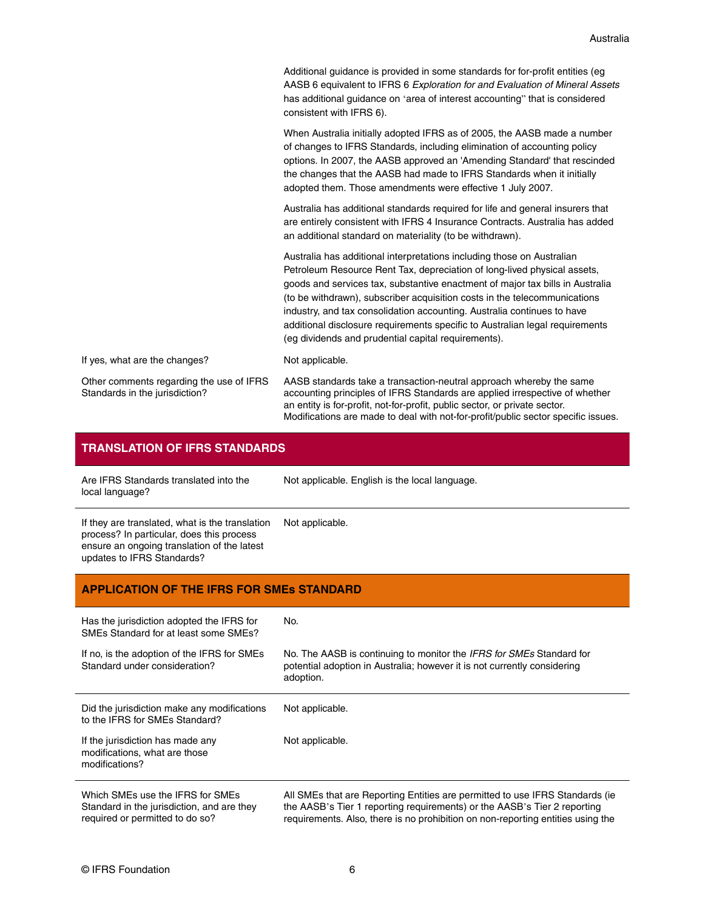| Additional quidance is provided in some standards for for-profit entities (eq |
|-------------------------------------------------------------------------------|
| AASB 6 equivalent to IFRS 6 Exploration for and Evaluation of Mineral Assets  |
| has additional quidance on 'area of interest accounting' that is considered   |
| consistent with IFRS 6).                                                      |

When Australia initially adopted IFRS as of 2005, the AASB made a number of changes to IFRS Standards, including elimination of accounting policy options. In 2007, the AASB approved an 'Amending Standard' that rescinded the changes that the AASB had made to IFRS Standards when it initially adopted them. Those amendments were effective 1 July 2007.

Australia has additional standards required for life and general insurers that are entirely consistent with IFRS 4 Insurance Contracts. Australia has added an additional standard on materiality (to be withdrawn).

Australia has additional interpretations including those on Australian Petroleum Resource Rent Tax, depreciation of long-lived physical assets, goods and services tax, substantive enactment of major tax bills in Australia (to be withdrawn), subscriber acquisition costs in the telecommunications industry, and tax consolidation accounting. Australia continues to have additional disclosure requirements specific to Australian legal requirements (eg dividends and prudential capital requirements).

If yes, what are the changes? Not applicable.

updates to IFRS Standards?

Other comments regarding the use of IFRS Standards in the jurisdiction?

AASB standards take a transaction-neutral approach whereby the same accounting principles of IFRS Standards are applied irrespective of whether an entity is for-profit, not-for-profit, public sector, or private sector. Modifications are made to deal with not-for-profit/public sector specific issues.

| <b>TRANSLATION OF IFRS STANDARDS</b>                                                                                                        |                                                |
|---------------------------------------------------------------------------------------------------------------------------------------------|------------------------------------------------|
| Are IFRS Standards translated into the<br>local language?                                                                                   | Not applicable. English is the local language. |
| If they are translated, what is the translation<br>process? In particular, does this process<br>ensure an ongoing translation of the latest | Not applicable.                                |

# **APPLICATION OF THE IFRS FOR SMEs STANDARD**

| Has the jurisdiction adopted the IFRS for<br>SMEs Standard for at least some SMEs?                                | No.                                                                                                                                                                                                                                          |
|-------------------------------------------------------------------------------------------------------------------|----------------------------------------------------------------------------------------------------------------------------------------------------------------------------------------------------------------------------------------------|
| If no, is the adoption of the IFRS for SMEs<br>Standard under consideration?                                      | No. The AASB is continuing to monitor the <i>IFRS for SMEs</i> Standard for<br>potential adoption in Australia; however it is not currently considering<br>adoption.                                                                         |
| Did the jurisdiction make any modifications<br>to the IFRS for SMEs Standard?                                     | Not applicable.                                                                                                                                                                                                                              |
| If the jurisdiction has made any<br>modifications, what are those<br>modifications?                               | Not applicable.                                                                                                                                                                                                                              |
| Which SMEs use the IFRS for SMEs<br>Standard in the jurisdiction, and are they<br>required or permitted to do so? | All SMEs that are Reporting Entities are permitted to use IFRS Standards (ie.<br>the AASB's Tier 1 reporting requirements) or the AASB's Tier 2 reporting<br>requirements. Also, there is no prohibition on non-reporting entities using the |